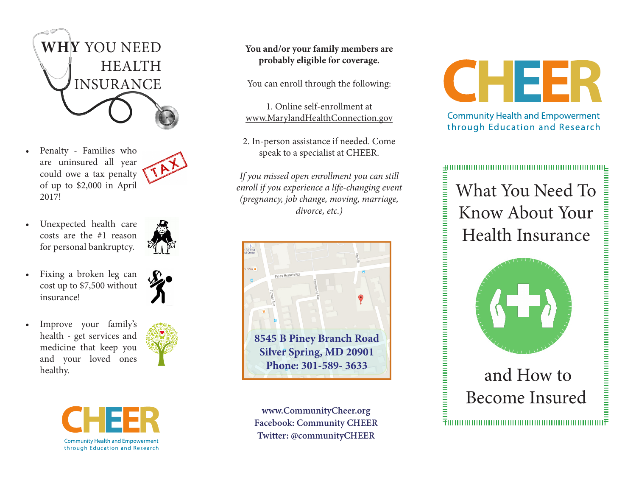

Penalty - Families who are uninsured all year could owe a tax penalty of up to \$2,000 in April 2017!



Unexpected health care costs are the #1 reason for personal bankruptcy.



• Fixing a broken leg can cost up to \$7,500 without insurance!





**You and/or your family members are probably eligible for coverage.** 

You can enroll through the following:

1. Online self-enrollment at www.MarylandHealthConnection.gov

2. In-person assistance if needed. Come speak to a specialist at CHEER.

*If you missed open enrollment you can still enroll if you experience a life-changing event (pregnancy, job change, moving, marriage, divorce, etc.)*



**www.CommunityCheer.org Facebook: Community CHEER Twitter: @communityCHEER**



**Community Health and Empowerment** through Education and Research

## What You Need To Know About Your Health Insurance



## and How to Become Insured